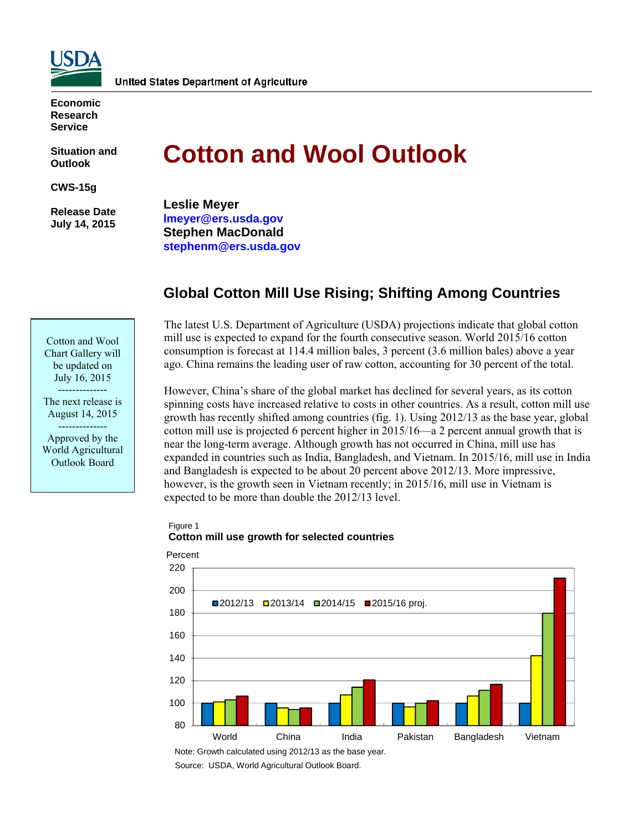

**Economic Research Service** 

**Situation and Outlook** 

**CWS-15g** 

 **Release Date July 14, 2015** 

Cotton and Wool Chart Gallery will be updated on July 16, 2015 -------------- The next release is August 14, 2015 -------------- Approved by the World Agricultural Outlook Board

# **Cotton and Wool Outlook**

**Leslie Meyer lmeyer@ers.usda.gov Stephen MacDonald stephenm@ers.usda.gov** 

# **Global Cotton Mill Use Rising; Shifting Among Countries**

The latest U.S. Department of Agriculture (USDA) projections indicate that global cotton mill use is expected to expand for the fourth consecutive season. World 2015/16 cotton consumption is forecast at 114.4 million bales, 3 percent (3.6 million bales) above a year ago. China remains the leading user of raw cotton, accounting for 30 percent of the total.

However, China's share of the global market has declined for several years, as its cotton spinning costs have increased relative to costs in other countries. As a result, cotton mill use growth has recently shifted among countries (fig. 1). Using 2012/13 as the base year, global cotton mill use is projected 6 percent higher in 2015/16—a 2 percent annual growth that is near the long-term average. Although growth has not occurred in China, mill use has expanded in countries such as India, Bangladesh, and Vietnam. In 2015/16, mill use in India and Bangladesh is expected to be about 20 percent above 2012/13. More impressive, however, is the growth seen in Vietnam recently; in 2015/16, mill use in Vietnam is expected to be more than double the 2012/13 level.

## Figure 1 **Cotton mill use growth for selected countries**



Note: Growth calculated using 2012/13 as the base year.

Source: USDA, World Agricultural Outlook Board.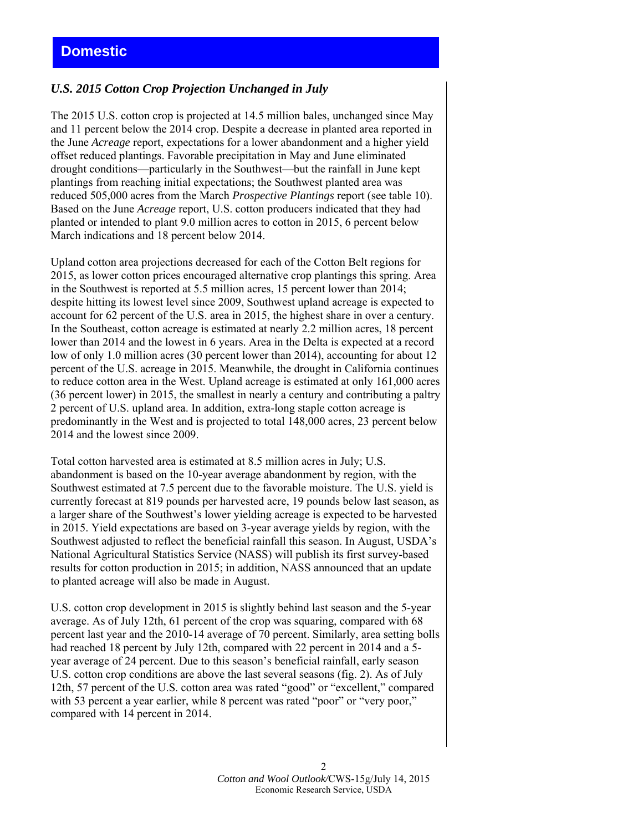## *U.S. 2015 Cotton Crop Projection Unchanged in July*

The 2015 U.S. cotton crop is projected at 14.5 million bales, unchanged since May and 11 percent below the 2014 crop. Despite a decrease in planted area reported in the June *Acreage* report, expectations for a lower abandonment and a higher yield offset reduced plantings. Favorable precipitation in May and June eliminated drought conditions—particularly in the Southwest—but the rainfall in June kept plantings from reaching initial expectations; the Southwest planted area was reduced 505,000 acres from the March *Prospective Plantings* report (see table 10). Based on the June *Acreage* report, U.S. cotton producers indicated that they had planted or intended to plant 9.0 million acres to cotton in 2015, 6 percent below March indications and 18 percent below 2014.

Upland cotton area projections decreased for each of the Cotton Belt regions for 2015, as lower cotton prices encouraged alternative crop plantings this spring. Area in the Southwest is reported at 5.5 million acres, 15 percent lower than 2014; despite hitting its lowest level since 2009, Southwest upland acreage is expected to account for 62 percent of the U.S. area in 2015, the highest share in over a century. In the Southeast, cotton acreage is estimated at nearly 2.2 million acres, 18 percent lower than 2014 and the lowest in 6 years. Area in the Delta is expected at a record low of only 1.0 million acres (30 percent lower than 2014), accounting for about 12 percent of the U.S. acreage in 2015. Meanwhile, the drought in California continues to reduce cotton area in the West. Upland acreage is estimated at only 161,000 acres (36 percent lower) in 2015, the smallest in nearly a century and contributing a paltry 2 percent of U.S. upland area. In addition, extra-long staple cotton acreage is predominantly in the West and is projected to total 148,000 acres, 23 percent below 2014 and the lowest since 2009.

Total cotton harvested area is estimated at 8.5 million acres in July; U.S. abandonment is based on the 10-year average abandonment by region, with the Southwest estimated at 7.5 percent due to the favorable moisture. The U.S. yield is currently forecast at 819 pounds per harvested acre, 19 pounds below last season, as a larger share of the Southwest's lower yielding acreage is expected to be harvested in 2015. Yield expectations are based on 3-year average yields by region, with the Southwest adjusted to reflect the beneficial rainfall this season. In August, USDA's National Agricultural Statistics Service (NASS) will publish its first survey-based results for cotton production in 2015; in addition, NASS announced that an update to planted acreage will also be made in August.

U.S. cotton crop development in 2015 is slightly behind last season and the 5-year average. As of July 12th, 61 percent of the crop was squaring, compared with 68 percent last year and the 2010-14 average of 70 percent. Similarly, area setting bolls had reached 18 percent by July 12th, compared with 22 percent in 2014 and a 5 year average of 24 percent. Due to this season's beneficial rainfall, early season U.S. cotton crop conditions are above the last several seasons (fig. 2). As of July 12th, 57 percent of the U.S. cotton area was rated "good" or "excellent," compared with 53 percent a year earlier, while 8 percent was rated "poor" or "very poor," compared with 14 percent in 2014.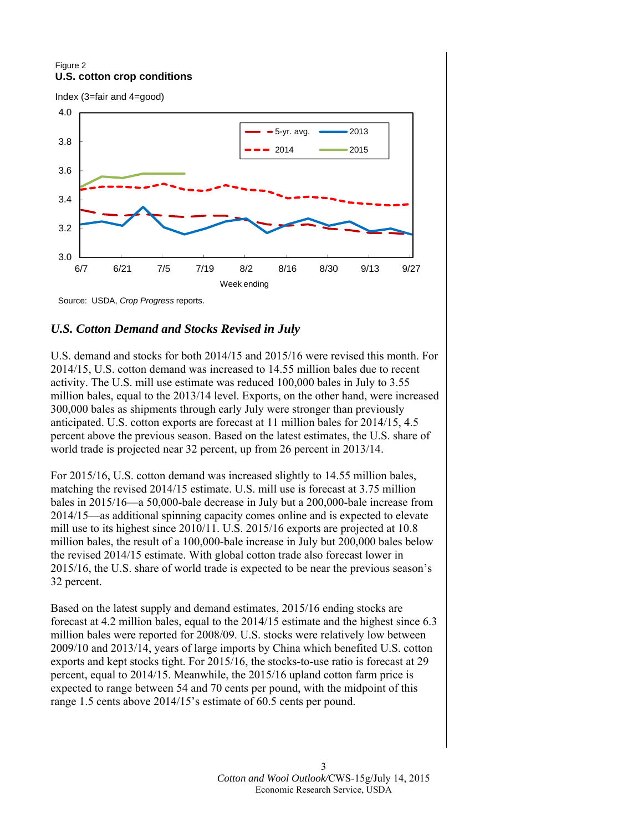#### Figure 2 **U.S. cotton crop conditions**

Index (3=fair and 4=good)



Source: USDA, *Crop Progress* reports.

## *U.S. Cotton Demand and Stocks Revised in July*

U.S. demand and stocks for both 2014/15 and 2015/16 were revised this month. For 2014/15, U.S. cotton demand was increased to 14.55 million bales due to recent activity. The U.S. mill use estimate was reduced 100,000 bales in July to 3.55 million bales, equal to the 2013/14 level. Exports, on the other hand, were increased 300,000 bales as shipments through early July were stronger than previously anticipated. U.S. cotton exports are forecast at 11 million bales for 2014/15, 4.5 percent above the previous season. Based on the latest estimates, the U.S. share of world trade is projected near 32 percent, up from 26 percent in 2013/14.

For 2015/16, U.S. cotton demand was increased slightly to 14.55 million bales, matching the revised 2014/15 estimate. U.S. mill use is forecast at 3.75 million bales in 2015/16—a 50,000-bale decrease in July but a 200,000-bale increase from 2014/15—as additional spinning capacity comes online and is expected to elevate mill use to its highest since 2010/11. U.S. 2015/16 exports are projected at 10.8 million bales, the result of a 100,000-bale increase in July but 200,000 bales below the revised 2014/15 estimate. With global cotton trade also forecast lower in 2015/16, the U.S. share of world trade is expected to be near the previous season's 32 percent.

Based on the latest supply and demand estimates, 2015/16 ending stocks are forecast at 4.2 million bales, equal to the 2014/15 estimate and the highest since 6.3 million bales were reported for 2008/09. U.S. stocks were relatively low between 2009/10 and 2013/14, years of large imports by China which benefited U.S. cotton exports and kept stocks tight. For 2015/16, the stocks-to-use ratio is forecast at 29 percent, equal to 2014/15. Meanwhile, the 2015/16 upland cotton farm price is expected to range between 54 and 70 cents per pound, with the midpoint of this range 1.5 cents above 2014/15's estimate of 60.5 cents per pound.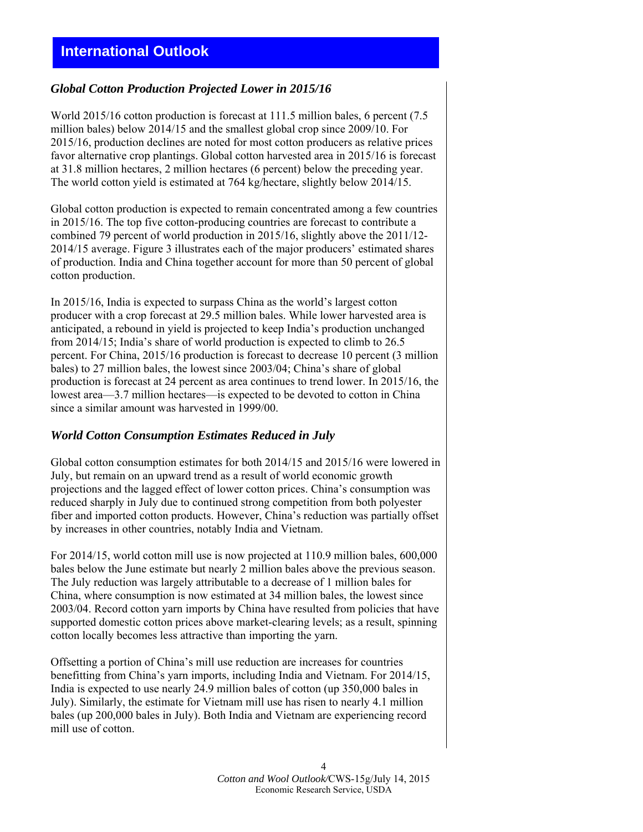# **International Outlook**

#### *Global Cotton Production Projected Lower in 2015/16*

World 2015/16 cotton production is forecast at 111.5 million bales, 6 percent (7.5 million bales) below 2014/15 and the smallest global crop since 2009/10. For 2015/16, production declines are noted for most cotton producers as relative prices favor alternative crop plantings. Global cotton harvested area in 2015/16 is forecast at 31.8 million hectares, 2 million hectares (6 percent) below the preceding year. The world cotton yield is estimated at 764 kg/hectare, slightly below 2014/15.

Global cotton production is expected to remain concentrated among a few countries in 2015/16. The top five cotton-producing countries are forecast to contribute a combined 79 percent of world production in 2015/16, slightly above the 2011/12- 2014/15 average. Figure 3 illustrates each of the major producers' estimated shares of production. India and China together account for more than 50 percent of global cotton production.

In 2015/16, India is expected to surpass China as the world's largest cotton producer with a crop forecast at 29.5 million bales. While lower harvested area is anticipated, a rebound in yield is projected to keep India's production unchanged from 2014/15; India's share of world production is expected to climb to 26.5 percent. For China, 2015/16 production is forecast to decrease 10 percent (3 million bales) to 27 million bales, the lowest since 2003/04; China's share of global production is forecast at 24 percent as area continues to trend lower. In 2015/16, the lowest area—3.7 million hectares—is expected to be devoted to cotton in China since a similar amount was harvested in 1999/00.

#### *World Cotton Consumption Estimates Reduced in July*

Global cotton consumption estimates for both 2014/15 and 2015/16 were lowered in July, but remain on an upward trend as a result of world economic growth projections and the lagged effect of lower cotton prices. China's consumption was reduced sharply in July due to continued strong competition from both polyester fiber and imported cotton products. However, China's reduction was partially offset by increases in other countries, notably India and Vietnam.

For 2014/15, world cotton mill use is now projected at 110.9 million bales, 600,000 bales below the June estimate but nearly 2 million bales above the previous season. The July reduction was largely attributable to a decrease of 1 million bales for China, where consumption is now estimated at 34 million bales, the lowest since 2003/04. Record cotton yarn imports by China have resulted from policies that have supported domestic cotton prices above market-clearing levels; as a result, spinning cotton locally becomes less attractive than importing the yarn.

Offsetting a portion of China's mill use reduction are increases for countries benefitting from China's yarn imports, including India and Vietnam. For 2014/15, India is expected to use nearly 24.9 million bales of cotton (up 350,000 bales in July). Similarly, the estimate for Vietnam mill use has risen to nearly 4.1 million bales (up 200,000 bales in July). Both India and Vietnam are experiencing record mill use of cotton.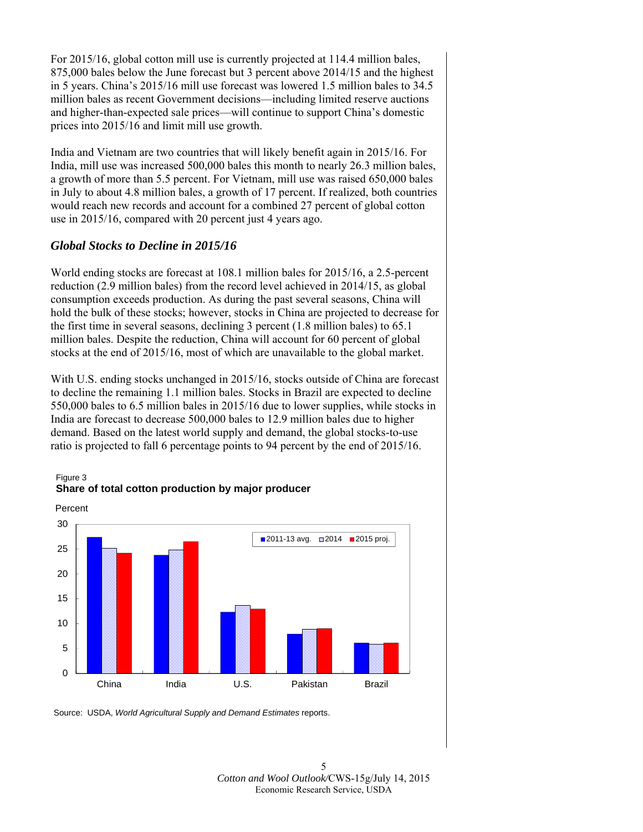For 2015/16, global cotton mill use is currently projected at 114.4 million bales, 875,000 bales below the June forecast but 3 percent above 2014/15 and the highest in 5 years. China's 2015/16 mill use forecast was lowered 1.5 million bales to 34.5 million bales as recent Government decisions—including limited reserve auctions and higher-than-expected sale prices—will continue to support China's domestic prices into 2015/16 and limit mill use growth.

India and Vietnam are two countries that will likely benefit again in 2015/16. For India, mill use was increased 500,000 bales this month to nearly 26.3 million bales, a growth of more than 5.5 percent. For Vietnam, mill use was raised 650,000 bales in July to about 4.8 million bales, a growth of 17 percent. If realized, both countries would reach new records and account for a combined 27 percent of global cotton use in 2015/16, compared with 20 percent just 4 years ago.

## *Global Stocks to Decline in 2015/16*

World ending stocks are forecast at 108.1 million bales for 2015/16, a 2.5-percent reduction (2.9 million bales) from the record level achieved in 2014/15, as global consumption exceeds production. As during the past several seasons, China will hold the bulk of these stocks; however, stocks in China are projected to decrease for the first time in several seasons, declining 3 percent (1.8 million bales) to 65.1 million bales. Despite the reduction, China will account for 60 percent of global stocks at the end of 2015/16, most of which are unavailable to the global market.

With U.S. ending stocks unchanged in 2015/16, stocks outside of China are forecast to decline the remaining 1.1 million bales. Stocks in Brazil are expected to decline 550,000 bales to 6.5 million bales in 2015/16 due to lower supplies, while stocks in India are forecast to decrease 500,000 bales to 12.9 million bales due to higher demand. Based on the latest world supply and demand, the global stocks-to-use ratio is projected to fall 6 percentage points to 94 percent by the end of 2015/16.



#### Figure 3 **Share of total cotton production by major producer**

Source: USDA, *World Agricultural Supply and Demand Estimates* reports.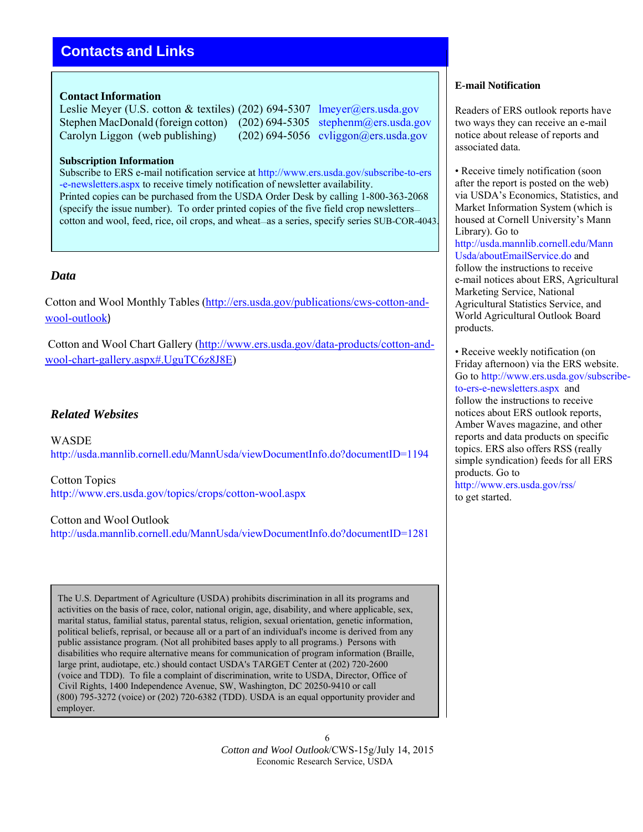# **Contacts and Links**

#### **Contact Information**

Leslie Meyer (U.S. cotton & textiles) (202) 694-5307 lmeyer@ers.usda.gov Stephen MacDonald (foreign cotton) (202) 694-5305 stephenm@ers.usda.gov Carolyn Liggon (web publishing) (202) 694-5056 cyliggon@ers.usda.gov

#### **Subscription Information**

Subscribe to ERS e-mail notification service at http://www.ers.usda.gov/subscribe-to-ers -e-newsletters.aspx to receive timely notification of newsletter availability. Printed copies can be purchased from the USDA Order Desk by calling 1-800-363-2068 (specify the issue number). To order printed copies of the five field crop newsletters cotton and wool, feed, rice, oil crops, and wheat—as a series, specify series SUB-COR-4043.

#### *Data*

Cotton and Wool Monthly Tables (http://ers.usda.gov/publications/cws-cotton-andwool-outlook)

Cotton and Wool Chart Gallery (http://www.ers.usda.gov/data-products/cotton-andwool-chart-gallery.aspx#.UguTC6z8J8E)

#### *Related Websites*

WASDE http://usda.mannlib.cornell.edu/MannUsda/viewDocumentInfo.do?documentID=1194

Cotton Topics http://www.ers.usda.gov/topics/crops/cotton-wool.aspx

Cotton and Wool Outlook http://usda.mannlib.cornell.edu/MannUsda/viewDocumentInfo.do?documentID=1281

The U.S. Department of Agriculture (USDA) prohibits discrimination in all its programs and activities on the basis of race, color, national origin, age, disability, and where applicable, sex, marital status, familial status, parental status, religion, sexual orientation, genetic information, political beliefs, reprisal, or because all or a part of an individual's income is derived from any public assistance program. (Not all prohibited bases apply to all programs.) Persons with disabilities who require alternative means for communication of program information (Braille, large print, audiotape, etc.) should contact USDA's TARGET Center at (202) 720-2600 (voice and TDD). To file a complaint of discrimination, write to USDA, Director, Office of Civil Rights, 1400 Independence Avenue, SW, Washington, DC 20250-9410 or call (800) 795-3272 (voice) or (202) 720-6382 (TDD). USDA is an equal opportunity provider and employer.

#### **E-mail Notification**

Readers of ERS outlook reports have two ways they can receive an e-mail notice about release of reports and associated data.

• Receive timely notification (soon) after the report is posted on the web) via USDA's Economics, Statistics, and Market Information System (which is housed at Cornell University's Mann Library). Go to http://usda.mannlib.cornell.edu/Mann Usda/aboutEmailService.do and follow the instructions to receive e-mail notices about ERS, Agricultural Marketing Service, National Agricultural Statistics Service, and World Agricultural Outlook Board products.

• Receive weekly notification (on Friday afternoon) via the ERS website. Go to http://www.ers.usda.gov/subscribeto-ers-e-newsletters.aspx and follow the instructions to receive notices about ERS outlook reports, Amber Waves magazine, and other reports and data products on specific topics. ERS also offers RSS (really simple syndication) feeds for all ERS products. Go to http://www.ers.usda.gov/rss/ to get started.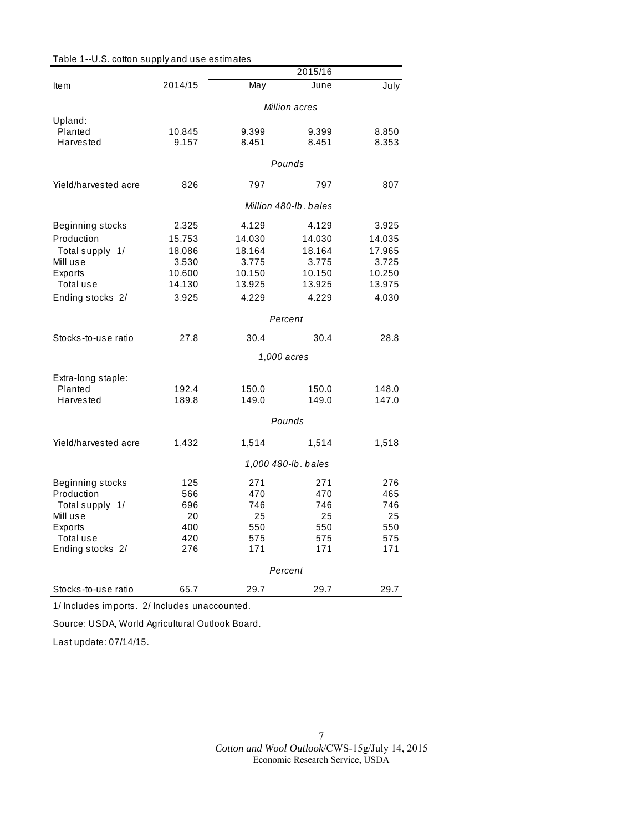|                      | 2015/16       |        |                       |        |  |
|----------------------|---------------|--------|-----------------------|--------|--|
| <b>Item</b>          | 2014/15       | May    | June                  | July   |  |
|                      | Million acres |        |                       |        |  |
| Upland:              |               |        |                       |        |  |
| Planted              | 10.845        | 9.399  | 9.399                 | 8.850  |  |
| Harvested            | 9.157         | 8.451  | 8.451                 | 8.353  |  |
|                      |               |        | Pounds                |        |  |
| Yield/harvested acre | 826           | 797    | 797                   | 807    |  |
|                      |               |        | Million 480-lb, bales |        |  |
| Beginning stocks     | 2.325         | 4.129  | 4.129                 | 3.925  |  |
| Production           | 15.753        | 14.030 | 14.030                | 14.035 |  |
| Total supply 1/      | 18.086        | 18.164 | 18.164                | 17.965 |  |
| Mill use             | 3.530         | 3.775  | 3.775                 | 3.725  |  |
| Exports              | 10.600        | 10.150 | 10.150                | 10.250 |  |
| Total use            | 14.130        | 13.925 | 13.925                | 13.975 |  |
| Ending stocks 2/     | 3.925         | 4.229  | 4.229                 | 4.030  |  |
|                      |               |        | Percent               |        |  |
| Stocks-to-use ratio  | 27.8          | 30.4   | 30.4                  | 28.8   |  |
|                      |               |        | 1,000 acres           |        |  |
|                      |               |        |                       |        |  |
| Extra-long staple:   |               |        |                       |        |  |
| Planted              | 192.4         | 150.0  | 150.0                 | 148.0  |  |
| Harvested            | 189.8         | 149.0  | 149.0                 | 147.0  |  |
|                      |               |        | Pounds                |        |  |
| Yield/harvested acre | 1,432         | 1,514  | 1,514                 | 1,518  |  |
|                      |               |        | 1,000 480-lb. bales   |        |  |
| Beginning stocks     | 125           | 271    | 271                   | 276    |  |
| Production           | 566           | 470    | 470                   | 465    |  |
| Total supply 1/      | 696           | 746    | 746                   | 746    |  |
| Mill use             | 20            | 25     | 25                    | 25     |  |
| Exports              | 400           | 550    | 550                   | 550    |  |
| Total use            | 420           | 575    | 575                   | 575    |  |
| Ending stocks 2/     | 276           | 171    | 171                   | 171    |  |
|                      |               |        | Percent               |        |  |
| Stocks-to-use ratio  | 65.7          | 29.7   | 29.7                  | 29.7   |  |

Table 1--U.S. cotton supply and use estim ates

1/ Includes im ports. 2/ Includes unaccounted.

Source: USDA, World Agricultural Outlook Board.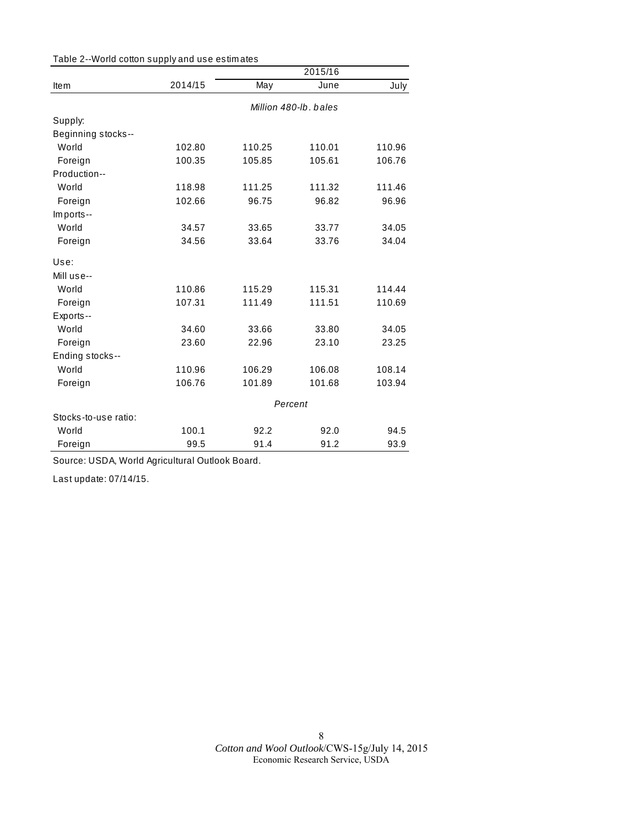| Table 2--World cotton supply and use estimates |  |  |
|------------------------------------------------|--|--|
|------------------------------------------------|--|--|

|                      |                       |        | 2015/16 |        |
|----------------------|-----------------------|--------|---------|--------|
| Item                 | 2014/15               | May    | June    | July   |
|                      | Million 480-lb, bales |        |         |        |
| Supply:              |                       |        |         |        |
| Beginning stocks--   |                       |        |         |        |
| World                | 102.80                | 110.25 | 110.01  | 110.96 |
| Foreign              | 100.35                | 105.85 | 105.61  | 106.76 |
| Production--         |                       |        |         |        |
| World                | 118.98                | 111.25 | 111.32  | 111.46 |
| Foreign              | 102.66                | 96.75  | 96.82   | 96.96  |
| Imports--            |                       |        |         |        |
| World                | 34.57                 | 33.65  | 33.77   | 34.05  |
| Foreign              | 34.56                 | 33.64  | 33.76   | 34.04  |
| Use:                 |                       |        |         |        |
| Mill use--           |                       |        |         |        |
| World                | 110.86                | 115.29 | 115.31  | 114.44 |
| Foreign              | 107.31                | 111.49 | 111.51  | 110.69 |
| Exports--            |                       |        |         |        |
| World                | 34.60                 | 33.66  | 33.80   | 34.05  |
| Foreign              | 23.60                 | 22.96  | 23.10   | 23.25  |
| Ending stocks--      |                       |        |         |        |
| World                | 110.96                | 106.29 | 106.08  | 108.14 |
| Foreign              | 106.76                | 101.89 | 101.68  | 103.94 |
|                      | Percent               |        |         |        |
| Stocks-to-use ratio: |                       |        |         |        |
| World                | 100.1                 | 92.2   | 92.0    | 94.5   |
| Foreign              | 99.5                  | 91.4   | 91.2    | 93.9   |

Source: USDA, World Agricultural Outlook Board.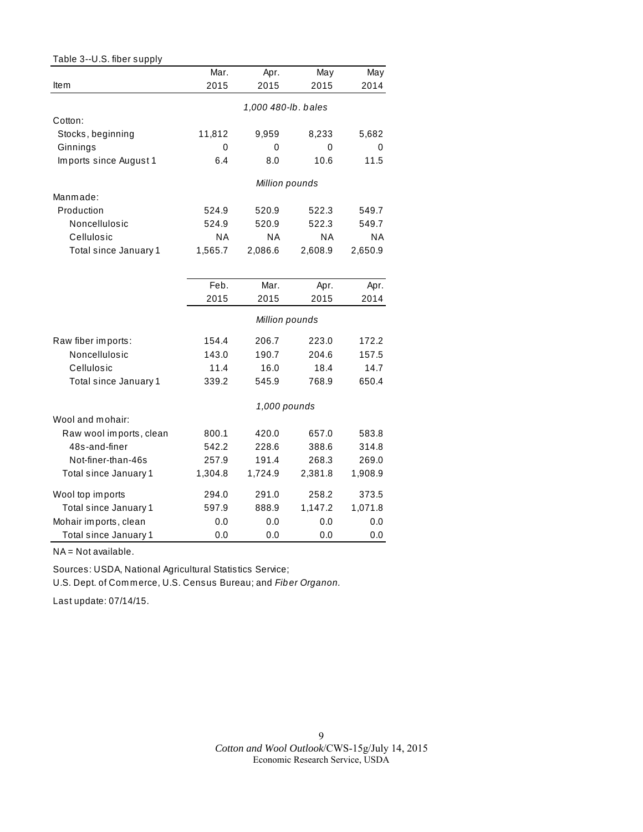| Table 3--U.S. fiber supply |           |                     |           |           |
|----------------------------|-----------|---------------------|-----------|-----------|
|                            | Mar.      | Apr.                | May       | May       |
| Item                       | 2015      | 2015                | 2015      | 2014      |
|                            |           | 1,000 480-lb. bales |           |           |
| Cotton:                    |           |                     |           |           |
| Stocks, beginning          | 11,812    | 9,959               | 8,233     | 5,682     |
| Ginnings                   | 0         | 0                   | 0         | 0         |
| Imports since August 1     | 6.4       | 0.8                 | 10.6      | 11.5      |
|                            |           | Million pounds      |           |           |
| Manmade:                   |           |                     |           |           |
| Production                 | 524.9     | 520.9               | 522.3     | 549.7     |
| Noncellulosic              | 524.9     | 520.9               | 522.3     | 549.7     |
| Cellulosic                 | <b>NA</b> | <b>NA</b>           | <b>NA</b> | <b>NA</b> |
| Total since January 1      | 1,565.7   | 2,086.6             | 2,608.9   | 2,650.9   |
|                            |           |                     |           |           |
|                            | Feb.      | Mar.                | Apr.      | Apr.      |
|                            | 2015      | 2015                | 2015      | 2014      |
|                            |           | Million pounds      |           |           |
| Raw fiber imports:         | 154.4     | 206.7               | 223.0     | 172.2     |
| Noncellulosic              | 143.0     | 190.7               | 204.6     | 157.5     |
| Cellulosic                 | 11.4      | 16.0                | 18.4      | 14.7      |
| Total since January 1      | 339.2     | 545.9               | 768.9     | 650.4     |
|                            |           | 1,000 pounds        |           |           |
| Wool and mohair:           |           |                     |           |           |
| Raw wool imports, clean    | 800.1     | 420.0               | 657.0     | 583.8     |
| 48s-and-finer              | 542.2     | 228.6               | 388.6     | 314.8     |
| Not-finer-than-46s         | 257.9     | 191.4               | 268.3     | 269.0     |
| Total since January 1      | 1,304.8   | 1,724.9             | 2,381.8   | 1,908.9   |
| Wool top imports           | 294.0     | 291.0               | 258.2     | 373.5     |
| Total since January 1      | 597.9     | 888.9               | 1,147.2   | 1,071.8   |
| Mohair imports, clean      | 0.0       | 0.0                 | 0.0       | 0.0       |
| Total since January 1      | 0.0       | 0.0                 | 0.0       | 0.0       |

NA = Not available.

Sources: USDA, National Agricultural Statistics Service;

U.S. Dept. of Com m erce, U.S. Census Bureau; and *Fib er Organon.*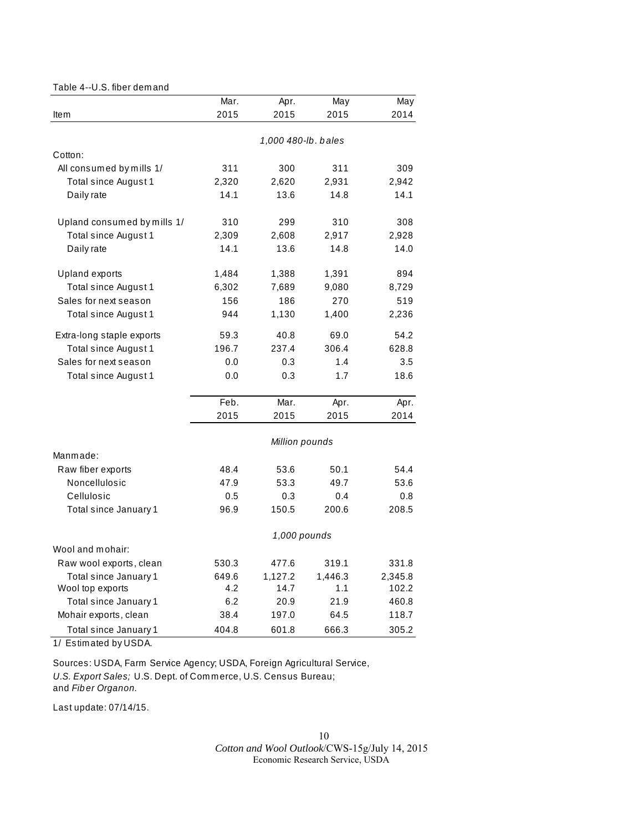#### Table 4--U.S. fiber dem and

|                             | Mar.  | Apr.                | May     | May     |
|-----------------------------|-------|---------------------|---------|---------|
| Item                        | 2015  | 2015                | 2015    | 2014    |
|                             |       | 1,000 480-lb. bales |         |         |
| Cotton:                     |       |                     |         |         |
| All consumed by mills 1/    | 311   | 300                 | 311     | 309     |
| Total since August 1        | 2,320 | 2,620               | 2,931   | 2,942   |
| Daily rate                  | 14.1  | 13.6                | 14.8    | 14.1    |
| Upland consumed by mills 1/ | 310   | 299                 | 310     | 308     |
| Total since August 1        | 2,309 | 2,608               | 2,917   | 2,928   |
| Daily rate                  | 14.1  | 13.6                | 14.8    | 14.0    |
| <b>Upland exports</b>       | 1,484 | 1,388               | 1,391   | 894     |
| Total since August 1        | 6,302 | 7,689               | 9,080   | 8,729   |
| Sales for next season       | 156   | 186                 | 270     | 519     |
| Total since August 1        | 944   | 1,130               | 1,400   | 2,236   |
| Extra-long staple exports   | 59.3  | 40.8                | 69.0    | 54.2    |
| Total since August 1        | 196.7 | 237.4               | 306.4   | 628.8   |
| Sales for next season       | 0.0   | 0.3                 | 1.4     | 3.5     |
| Total since August 1        | 0.0   | 0.3                 | 1.7     | 18.6    |
|                             | Feb.  | Mar.                | Apr.    | Apr.    |
|                             | 2015  | 2015                | 2015    | 2014    |
|                             |       | Million pounds      |         |         |
| Manmade:                    |       |                     |         |         |
| Raw fiber exports           | 48.4  | 53.6                | 50.1    | 54.4    |
| Noncellulosic               | 47.9  | 53.3                | 49.7    | 53.6    |
| Cellulosic                  | 0.5   | 0.3                 | 0.4     | 0.8     |
| Total since January 1       | 96.9  | 150.5               | 200.6   | 208.5   |
|                             |       | 1,000 pounds        |         |         |
| Wool and mohair:            |       |                     |         |         |
| Raw wool exports, clean     | 530.3 | 477.6               | 319.1   | 331.8   |
| Total since January 1       | 649.6 | 1,127.2             | 1,446.3 | 2,345.8 |
| Wool top exports            | 4.2   | 14.7                | 1.1     | 102.2   |
| Total since January 1       | 6.2   | 20.9                | 21.9    | 460.8   |
| Mohair exports, clean       | 38.4  | 197.0               | 64.5    | 118.7   |
| Total since January 1       | 404.8 | 601.8               | 666.3   | 305.2   |

1/ Estim ated by USDA.

Sources: USDA, Farm Service Agency; USDA, Foreign Agricultural Service, *U.S. Export Sales;* U.S. Dept. of Com m erce, U.S. Census Bureau; and *Fib er Organon.*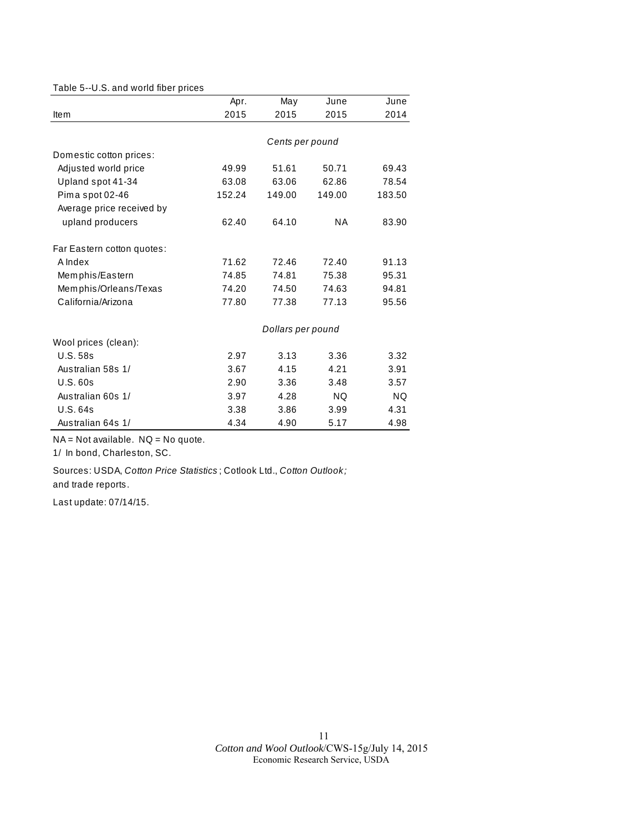#### Table 5--U.S. and world fiber prices

|                            | Apr.   | May               | June   | June      |
|----------------------------|--------|-------------------|--------|-----------|
| Item                       | 2015   | 2015              | 2015   | 2014      |
|                            |        |                   |        |           |
|                            |        | Cents per pound   |        |           |
| Domestic cotton prices:    |        |                   |        |           |
| Adjusted world price       | 49.99  | 51.61             | 50.71  | 69.43     |
| Upland spot 41-34          | 63.08  | 63.06             | 62.86  | 78.54     |
| Pima spot 02-46            | 152.24 | 149.00            | 149.00 | 183.50    |
| Average price received by  |        |                   |        |           |
| upland producers           | 62.40  | 64.10             | NA     | 83.90     |
| Far Eastern cotton quotes: |        |                   |        |           |
| A Index                    | 71.62  | 72.46             | 72.40  | 91.13     |
| Memphis/Eastern            | 74.85  | 74.81             | 75.38  | 95.31     |
| Memphis/Orleans/Texas      | 74.20  | 74.50             | 74.63  | 94.81     |
| California/Arizona         | 77.80  | 77.38             | 77.13  | 95.56     |
|                            |        | Dollars per pound |        |           |
| Wool prices (clean):       |        |                   |        |           |
| <b>U.S. 58s</b>            | 2.97   | 3.13              | 3.36   | 3.32      |
| Australian 58s 1/          | 3.67   | 4.15              | 4.21   | 3.91      |
| U.S.60s                    | 2.90   | 3.36              | 3.48   | 3.57      |
| Australian 60s 1/          | 3.97   | 4.28              | NQ.    | <b>NQ</b> |
| U.S. 64s                   | 3.38   | 3.86              | 3.99   | 4.31      |
| Australian 64s 1/          | 4.34   | 4.90              | 5.17   | 4.98      |

 $NA = Not available.$   $NQ = No$  quote.

1/ In bond, Charleston, SC.

Sources: USDA, *Cotton Price Statistics* ; Cotlook Ltd., *Cotton Outlook;*  and trade reports.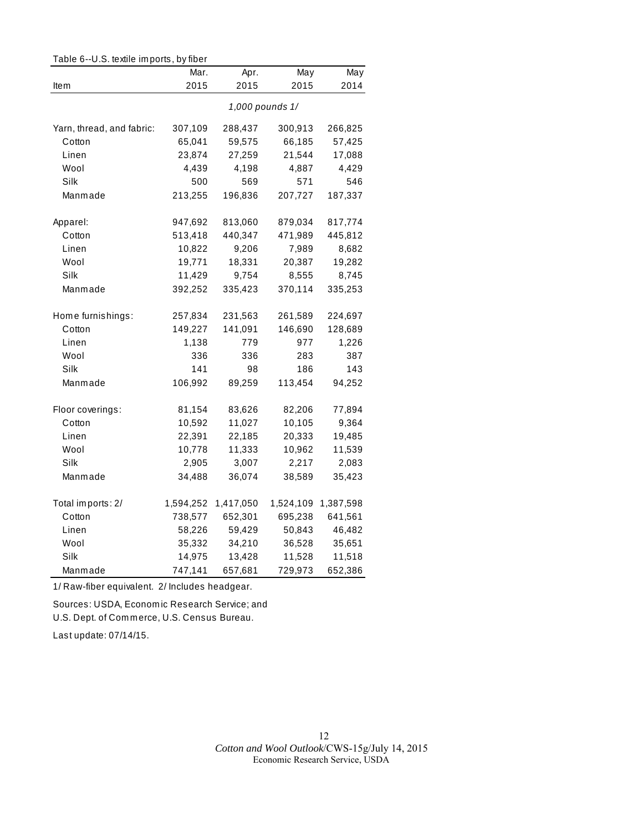| Table 6--U.S. textile imports, by fiber |           |           |                 |           |
|-----------------------------------------|-----------|-----------|-----------------|-----------|
|                                         | Mar.      | Apr.      | May             | May       |
| Item                                    | 2015      | 2015      | 2015            | 2014      |
|                                         |           |           | 1,000 pounds 1/ |           |
| Yarn, thread, and fabric:               | 307,109   | 288,437   | 300,913         | 266,825   |
| Cotton                                  | 65,041    | 59,575    | 66,185          | 57,425    |
| Linen                                   | 23,874    | 27,259    | 21,544          | 17,088    |
| Wool                                    | 4,439     | 4,198     | 4,887           | 4,429     |
| Silk                                    | 500       | 569       | 571             | 546       |
| Manmade                                 | 213,255   | 196,836   | 207,727         | 187,337   |
| Apparel:                                | 947,692   | 813,060   | 879,034         | 817,774   |
| Cotton                                  | 513,418   | 440,347   | 471,989         | 445,812   |
| Linen                                   | 10,822    | 9,206     | 7,989           | 8,682     |
| Wool                                    | 19,771    | 18,331    | 20,387          | 19,282    |
| Silk                                    | 11,429    | 9,754     | 8,555           | 8,745     |
| Manmade                                 | 392,252   | 335,423   | 370,114         | 335,253   |
| Home furnishings:                       | 257,834   | 231,563   | 261,589         | 224,697   |
| Cotton                                  | 149,227   | 141,091   | 146,690         | 128,689   |
| Linen                                   | 1,138     | 779       | 977             | 1,226     |
| Wool                                    | 336       | 336       | 283             | 387       |
| Silk                                    | 141       | 98        | 186             | 143       |
| Manmade                                 | 106,992   | 89,259    | 113,454         | 94,252    |
| Floor coverings:                        | 81,154    | 83,626    | 82,206          | 77,894    |
| Cotton                                  | 10,592    | 11,027    | 10,105          | 9,364     |
| Linen                                   | 22,391    | 22,185    | 20,333          | 19,485    |
| Wool                                    | 10,778    | 11,333    | 10,962          | 11,539    |
| Silk                                    | 2,905     | 3,007     | 2,217           | 2,083     |
| Manmade                                 | 34,488    | 36,074    | 38,589          | 35,423    |
| Total imports: 2/                       | 1,594,252 | 1,417,050 | 1,524,109       | 1,387,598 |
| Cotton                                  | 738,577   | 652,301   | 695,238         | 641,561   |
| Linen                                   | 58,226    | 59,429    | 50,843          | 46,482    |
| Wool                                    | 35,332    | 34,210    | 36,528          | 35,651    |
| Silk                                    | 14,975    | 13,428    | 11,528          | 11,518    |
| Manmade                                 | 747,141   | 657,681   | 729,973         | 652,386   |

1/ Raw-fiber equivalent. 2/ Includes headgear.

Sources: USDA, Econom ic Research Service; and U.S. Dept. of Com m erce, U.S. Census Bureau.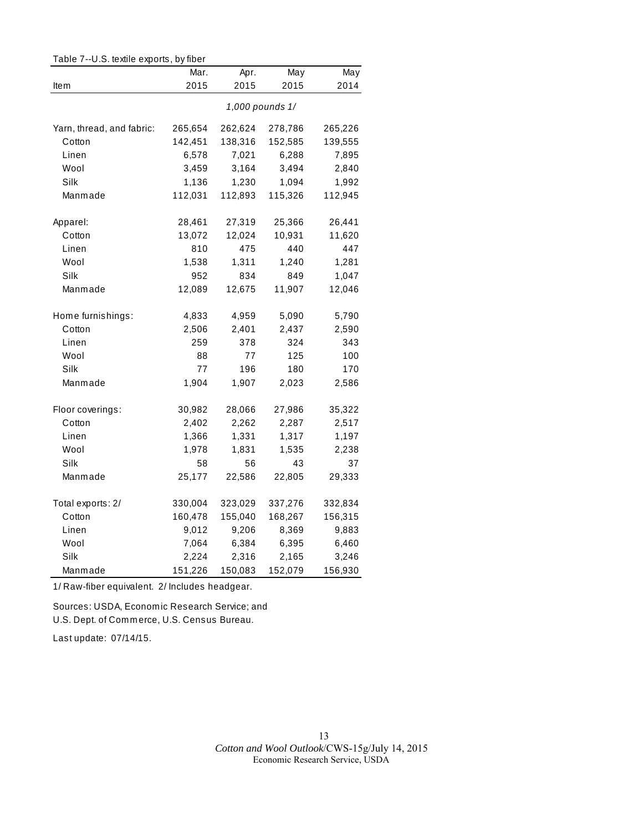| rable $i$ --0.5. lexule exports, by liber |         |         |                 |         |
|-------------------------------------------|---------|---------|-----------------|---------|
|                                           | Mar.    | Apr.    | May             | May     |
| Item                                      | 2015    | 2015    | 2015            | 2014    |
|                                           |         |         | 1,000 pounds 1/ |         |
| Yarn, thread, and fabric:                 | 265,654 | 262,624 | 278,786         | 265,226 |
| Cotton                                    | 142,451 | 138,316 | 152,585         | 139,555 |
| Linen                                     | 6,578   | 7,021   | 6,288           | 7,895   |
| Wool                                      | 3,459   | 3,164   | 3,494           | 2,840   |
| Silk                                      | 1,136   | 1,230   | 1,094           | 1,992   |
| Manmade                                   | 112,031 | 112,893 | 115,326         | 112,945 |
| Apparel:                                  | 28,461  | 27,319  | 25,366          | 26,441  |
| Cotton                                    | 13,072  | 12,024  | 10,931          | 11,620  |
| Linen                                     | 810     | 475     | 440             | 447     |
| Wool                                      | 1,538   | 1,311   | 1,240           | 1,281   |
| Silk                                      | 952     | 834     | 849             | 1,047   |
| Manmade                                   | 12,089  | 12,675  | 11,907          | 12,046  |
| Home furnishings:                         | 4,833   | 4,959   | 5,090           | 5,790   |
| Cotton                                    | 2,506   | 2,401   | 2,437           | 2,590   |
| Linen                                     | 259     | 378     | 324             | 343     |
| Wool                                      | 88      | 77      | 125             | 100     |
| Silk                                      | 77      | 196     | 180             | 170     |
| Manmade                                   | 1,904   | 1,907   | 2,023           | 2,586   |
| Floor coverings:                          | 30,982  | 28,066  | 27,986          | 35,322  |
| Cotton                                    | 2,402   | 2,262   | 2,287           | 2,517   |
| Linen                                     | 1,366   | 1,331   | 1,317           | 1,197   |
| Wool                                      | 1,978   | 1,831   | 1,535           | 2,238   |
| Silk                                      | 58      | 56      | 43              | 37      |
| Manmade                                   | 25,177  | 22,586  | 22,805          | 29,333  |
| Total exports: 2/                         | 330,004 | 323,029 | 337,276         | 332,834 |
| Cotton                                    | 160,478 | 155,040 | 168,267         | 156,315 |
| Linen                                     | 9,012   | 9,206   | 8,369           | 9,883   |
| Wool                                      | 7,064   | 6,384   | 6,395           | 6,460   |
| Silk                                      | 2,224   | 2,316   | 2,165           | 3,246   |
| Manmade                                   | 151,226 | 150,083 | 152,079         | 156,930 |

Table 7--U.S. textile exports, by fiber

1/ Raw-fiber equivalent. 2/ Includes headgear.

Sources: USDA, Econom ic Research Service; and U.S. Dept. of Com m erce, U.S. Census Bureau.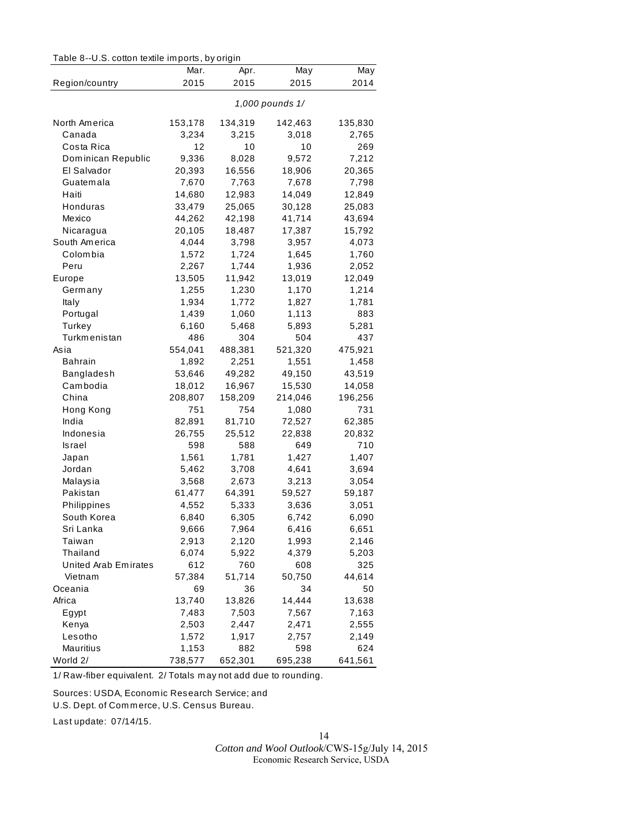Table 8--U.S. cotton textile im ports, by origin

|                            | Mar.            | Apr.    | May     | May     |  |
|----------------------------|-----------------|---------|---------|---------|--|
| Region/country             | 2015            | 2015    | 2015    | 2014    |  |
|                            |                 |         |         |         |  |
|                            | 1,000 pounds 1/ |         |         |         |  |
| North America              | 153,178         | 134,319 | 142,463 | 135,830 |  |
| Canada                     | 3,234           | 3,215   | 3,018   | 2,765   |  |
| Costa Rica                 | 12              | 10      | 10      | 269     |  |
| Dominican Republic         | 9,336           | 8,028   | 9,572   | 7,212   |  |
| El Salvador                | 20,393          | 16,556  | 18,906  | 20,365  |  |
| Guatemala                  | 7,670           | 7,763   | 7,678   | 7,798   |  |
| Haiti                      | 14,680          | 12,983  | 14,049  | 12,849  |  |
| Honduras                   | 33,479          | 25,065  | 30,128  | 25,083  |  |
| Mexico                     | 44,262          | 42,198  | 41,714  | 43,694  |  |
| Nicaragua                  | 20,105          | 18,487  | 17,387  | 15,792  |  |
| South America              | 4,044           | 3,798   | 3,957   | 4,073   |  |
| Colombia                   | 1,572           | 1,724   | 1,645   | 1,760   |  |
| Peru                       | 2,267           | 1,744   | 1,936   | 2,052   |  |
| Europe                     | 13,505          | 11,942  | 13,019  | 12,049  |  |
| Germany                    | 1,255           | 1,230   | 1,170   | 1,214   |  |
| Italy                      | 1,934           | 1,772   | 1,827   | 1,781   |  |
| Portugal                   | 1,439           | 1,060   | 1,113   | 883     |  |
| Turkey                     | 6,160           | 5,468   | 5,893   | 5,281   |  |
| Turkmenistan               | 486             | 304     | 504     | 437     |  |
| Asia                       | 554,041         | 488,381 | 521,320 | 475,921 |  |
| Bahrain                    | 1,892           | 2,251   | 1,551   | 1,458   |  |
| Bangladesh                 | 53,646          | 49,282  | 49,150  | 43,519  |  |
| Cambodia                   | 18,012          | 16,967  | 15,530  | 14,058  |  |
| China                      | 208,807         | 158,209 | 214,046 | 196,256 |  |
| Hong Kong                  | 751             | 754     | 1,080   | 731     |  |
| India                      | 82,891          | 81,710  | 72,527  | 62,385  |  |
| Indonesia                  | 26,755          | 25,512  | 22,838  | 20,832  |  |
| Israel                     | 598             | 588     | 649     | 710     |  |
|                            |                 |         |         |         |  |
| Japan                      | 1,561           | 1,781   | 1,427   | 1,407   |  |
| Jordan                     | 5,462           | 3,708   | 4,641   | 3,694   |  |
| Malaysia<br>Pakistan       | 3,568           | 2,673   | 3,213   | 3,054   |  |
|                            | 61,477          | 64,391  | 59,527  | 59,187  |  |
| Philippines<br>South Korea | 4,552           | 5,333   | 3,636   | 3,051   |  |
|                            | 6,840           | 6,305   | 6,742   | 6,090   |  |
| Sri Lanka                  | 9,666           | 7,964   | 6,416   | 6,651   |  |
| Taiwan                     | 2,913           | 2,120   | 1,993   | 2,146   |  |
| Thailand                   | 6,074           | 5,922   | 4,379   | 5,203   |  |
| United Arab Emirates       | 612             | 760     | 608     | 325     |  |
| Vietnam                    | 57,384          | 51,714  | 50,750  | 44,614  |  |
| Oceania                    | 69              | 36      | 34      | 50      |  |
| Africa                     | 13,740          | 13,826  | 14,444  | 13,638  |  |
| Egypt                      | 7,483           | 7,503   | 7,567   | 7,163   |  |
| Kenya                      | 2,503           | 2,447   | 2,471   | 2,555   |  |
| Lesotho                    | 1,572           | 1,917   | 2,757   | 2,149   |  |
| Mauritius                  | 1,153           | 882     | 598     | 624     |  |
| World 2/                   | 738,577         | 652,301 | 695,238 | 641,561 |  |

1/ Raw-fiber equivalent. 2/ Totals m ay not add due to rounding.

Sources: USDA, Econom ic Research Service; and

U.S. Dept. of Com m erce, U.S. Census Bureau.

Last update: 07/14/15.

*Cotton and Wool Outlook*/CWS-15g/July 14, 2015 Economic Research Service, USDA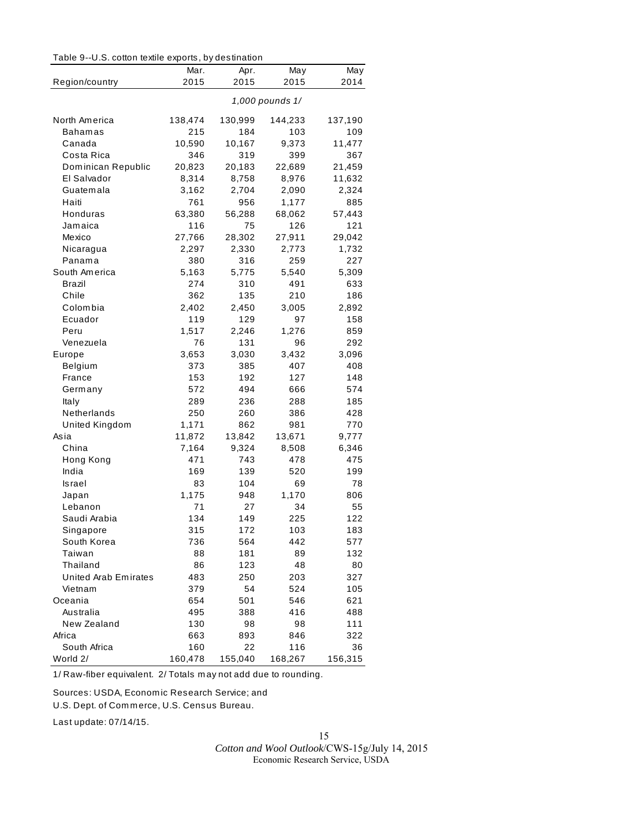| Table 9--U.S. cotton textile exports, by destination |  |
|------------------------------------------------------|--|
|------------------------------------------------------|--|

| Region/country       | Mar.<br>2015 | Apr.<br>2015 | May<br>2015     | May<br>2014  |
|----------------------|--------------|--------------|-----------------|--------------|
|                      |              |              |                 |              |
|                      |              |              | 1,000 pounds 1/ |              |
| North America        | 138,474      | 130,999      | 144,233         | 137,190      |
| Bahamas              | 215          | 184          | 103             | 109          |
| Canada               | 10,590       | 10,167       | 9,373           | 11,477       |
| Costa Rica           | 346          | 319          | 399             | 367          |
| Dominican Republic   | 20,823       | 20,183       | 22,689          | 21,459       |
| El Salvador          | 8,314        | 8,758        | 8,976           | 11,632       |
| Guatemala            | 3,162        | 2,704        | 2,090           | 2,324        |
| Haiti                | 761          | 956          | 1,177           | 885          |
| Honduras             | 63,380       | 56,288       | 68,062          | 57,443       |
| Jamaica              | 116          | 75           | 126             | 121          |
| Mexico               | 27,766       | 28,302       | 27,911          | 29,042       |
| Nicaragua            | 2,297        | 2,330        | 2,773           | 1,732        |
| Panama               | 380          | 316          | 259             | 227          |
| South America        | 5,163        | 5,775        | 5,540           | 5,309        |
| Brazil               | 274          | 310          | 491             | 633          |
| Chile                | 362          | 135          | 210             | 186          |
| Colombia             | 2,402        | 2,450        | 3,005           | 2,892        |
| Ecuador              | 119          | 129          | 97              | 158          |
| Peru                 | 1,517        | 2,246        | 1,276           | 859          |
| Venezuela            | 76           | 131          | 96              | 292          |
| Europe               | 3,653        | 3,030        | 3,432           | 3,096        |
| Belgium              | 373          | 385          | 407             | 408          |
| France               | 153          | 192          | 127             | 148          |
| Germany              | 572          | 494          | 666             | 574          |
| Italy<br>Netherlands | 289          | 236          | 288             | 185          |
|                      | 250          | 260          | 386             | 428          |
| United Kingdom       | 1,171        | 862          | 981             | 770          |
| Asia                 | 11,872       | 13,842       | 13,671          | 9,777        |
| China                | 7,164<br>471 | 9,324<br>743 | 8,508<br>478    | 6,346<br>475 |
| Hong Kong<br>India   | 169          | 139          | 520             | 199          |
| Israel               | 83           | 104          | 69              | 78           |
| Japan                | 1,175        | 948          | 1,170           | 806          |
| Lebanon              | 71           | 27           | 34              | 55           |
| Saudi Arabia         | 134          | 149          | 225             | 122          |
| Singapore            | 315          | 172          | 103             | 183          |
| South Korea          | 736          | 564          | 442             | 577          |
| Taiwan               | 88           | 181          | 89              | 132          |
| Thailand             | 86           | 123          | 48              | 80           |
| United Arab Emirates | 483          | 250          | 203             | 327          |
| Vietnam              | 379          | 54           | 524             | 105          |
| Oceania              | 654          | 501          | 546             | 621          |
| Australia            | 495          | 388          | 416             | 488          |
| New Zealand          | 130          | 98           | 98              | 111          |
| Africa               | 663          | 893          | 846             | 322          |
| South Africa         | 160          | 22           | 116             | 36           |
| World 2/             | 160,478      | 155,040      | 168,267         | 156,315      |

1/ Raw-fiber equivalent. 2/ Totals m ay not add due to rounding.

Sources: USDA, Econom ic Research Service; and

U.S. Dept. of Com m erce, U.S. Census Bureau.

Last update: 07/14/15.

*Cotton and Wool Outlook*/CWS-15g/July 14, 2015 Economic Research Service, USDA